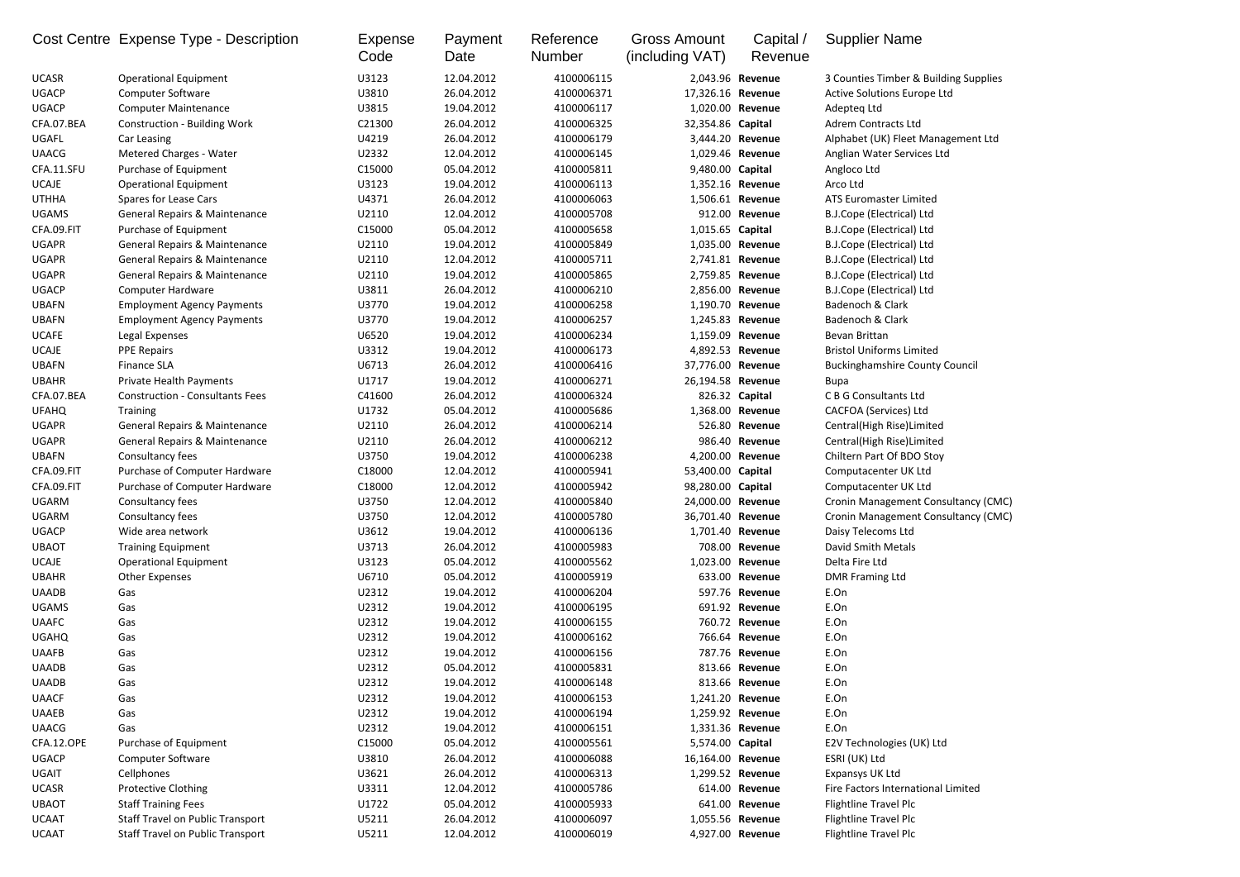|              | Cost Centre Expense Type - Description   | Expense<br>Code | Payment<br>Date | Reference<br><b>Number</b> | <b>Gross Amount</b><br>(including VAT) | Capital /<br>Revenue | <b>Supplier Name</b>                  |
|--------------|------------------------------------------|-----------------|-----------------|----------------------------|----------------------------------------|----------------------|---------------------------------------|
| <b>UCASR</b> | <b>Operational Equipment</b>             | U3123           | 12.04.2012      | 4100006115                 |                                        | 2,043.96 Revenue     | 3 Counties Timber & Building Supplies |
| <b>UGACP</b> | <b>Computer Software</b>                 | U3810           | 26.04.2012      | 4100006371                 | 17,326.16 Revenue                      |                      | Active Solutions Europe Ltd           |
| <b>UGACP</b> | <b>Computer Maintenance</b>              | U3815           | 19.04.2012      | 4100006117                 |                                        | 1,020.00 Revenue     | Adepteq Ltd                           |
| CFA.07.BEA   | <b>Construction - Building Work</b>      | C21300          | 26.04.2012      | 4100006325                 | 32,354.86 Capital                      |                      | <b>Adrem Contracts Ltd</b>            |
| <b>UGAFL</b> | Car Leasing                              | U4219           | 26.04.2012      | 4100006179                 |                                        | 3,444.20 Revenue     | Alphabet (UK) Fleet Management Ltd    |
| <b>UAACG</b> | <b>Metered Charges - Water</b>           | U2332           | 12.04.2012      | 4100006145                 |                                        | 1,029.46 Revenue     | Anglian Water Services Ltd            |
| CFA.11.SFU   | Purchase of Equipment                    | C15000          | 05.04.2012      | 4100005811                 | 9,480.00 Capital                       |                      | Angloco Ltd                           |
| <b>UCAJE</b> | <b>Operational Equipment</b>             | U3123           | 19.04.2012      | 4100006113                 |                                        | 1,352.16 Revenue     | Arco Ltd                              |
| <b>UTHHA</b> | <b>Spares for Lease Cars</b>             | U4371           | 26.04.2012      | 4100006063                 |                                        | 1,506.61 Revenue     | <b>ATS Euromaster Limited</b>         |
| <b>UGAMS</b> | <b>General Repairs &amp; Maintenance</b> | U2110           | 12.04.2012      | 4100005708                 |                                        | 912.00 Revenue       | B.J.Cope (Electrical) Ltd             |
| CFA.09.FIT   | Purchase of Equipment                    | C15000          | 05.04.2012      | 4100005658                 | 1,015.65 Capital                       |                      | <b>B.J.Cope (Electrical) Ltd</b>      |
| <b>UGAPR</b> | <b>General Repairs &amp; Maintenance</b> | U2110           | 19.04.2012      | 4100005849                 |                                        | 1,035.00 Revenue     | <b>B.J.Cope (Electrical) Ltd</b>      |
| <b>UGAPR</b> | General Repairs & Maintenance            | U2110           | 12.04.2012      | 4100005711                 |                                        | 2,741.81 Revenue     | <b>B.J.Cope (Electrical) Ltd</b>      |
| <b>UGAPR</b> | <b>General Repairs &amp; Maintenance</b> | U2110           | 19.04.2012      | 4100005865                 |                                        | 2,759.85 Revenue     | <b>B.J.Cope (Electrical) Ltd</b>      |
| <b>UGACP</b> | <b>Computer Hardware</b>                 | U3811           | 26.04.2012      | 4100006210                 |                                        | 2,856.00 Revenue     | B.J.Cope (Electrical) Ltd             |
| <b>UBAFN</b> | <b>Employment Agency Payments</b>        | U3770           | 19.04.2012      | 4100006258                 |                                        | 1,190.70 Revenue     | Badenoch & Clark                      |
| <b>UBAFN</b> | <b>Employment Agency Payments</b>        | U3770           | 19.04.2012      | 4100006257                 |                                        | 1,245.83 Revenue     | Badenoch & Clark                      |
| <b>UCAFE</b> | Legal Expenses                           | U6520           | 19.04.2012      | 4100006234                 |                                        | 1,159.09 Revenue     | Bevan Brittan                         |
| <b>UCAJE</b> | <b>PPE Repairs</b>                       | U3312           | 19.04.2012      | 4100006173                 |                                        | 4,892.53 Revenue     | <b>Bristol Uniforms Limited</b>       |
| <b>UBAFN</b> | <b>Finance SLA</b>                       | U6713           | 26.04.2012      | 4100006416                 | 37,776.00 Revenue                      |                      | <b>Buckinghamshire County Council</b> |
| <b>UBAHR</b> | Private Health Payments                  | U1717           | 19.04.2012      | 4100006271                 | 26,194.58 Revenue                      |                      | <b>Bupa</b>                           |
| CFA.07.BEA   | <b>Construction - Consultants Fees</b>   | C41600          | 26.04.2012      | 4100006324                 |                                        | 826.32 Capital       | C B G Consultants Ltd                 |
| <b>UFAHQ</b> | <b>Training</b>                          | U1732           | 05.04.2012      | 4100005686                 |                                        | 1,368.00 Revenue     | CACFOA (Services) Ltd                 |
| <b>UGAPR</b> | General Repairs & Maintenance            | U2110           | 26.04.2012      | 4100006214                 |                                        | 526.80 Revenue       | Central(High Rise)Limited             |
| <b>UGAPR</b> | General Repairs & Maintenance            | U2110           | 26.04.2012      | 4100006212                 |                                        | 986.40 Revenue       | Central(High Rise)Limited             |
| <b>UBAFN</b> | Consultancy fees                         | U3750           | 19.04.2012      | 4100006238                 |                                        | 4,200.00 Revenue     | Chiltern Part Of BDO Stoy             |
| CFA.09.FIT   | Purchase of Computer Hardware            | C18000          | 12.04.2012      | 4100005941                 | 53,400.00 Capital                      |                      | Computacenter UK Ltd                  |
| CFA.09.FIT   | Purchase of Computer Hardware            | C18000          | 12.04.2012      | 4100005942                 | 98,280.00 Capital                      |                      | Computacenter UK Ltd                  |
| <b>UGARM</b> | Consultancy fees                         | U3750           | 12.04.2012      | 4100005840                 | 24,000.00 Revenue                      |                      | Cronin Management Consultancy (CMC)   |
| <b>UGARM</b> | Consultancy fees                         | U3750           | 12.04.2012      | 4100005780                 |                                        | 36,701.40 Revenue    | Cronin Management Consultancy (CMC)   |
| <b>UGACP</b> | Wide area network                        | U3612           | 19.04.2012      | 4100006136                 |                                        | 1,701.40 Revenue     | Daisy Telecoms Ltd                    |
| <b>UBAOT</b> | <b>Training Equipment</b>                | U3713           | 26.04.2012      | 4100005983                 |                                        | 708.00 Revenue       | David Smith Metals                    |
| <b>UCAJE</b> | <b>Operational Equipment</b>             | U3123           | 05.04.2012      | 4100005562                 |                                        | 1,023.00 Revenue     | Delta Fire Ltd                        |
| <b>UBAHR</b> | <b>Other Expenses</b>                    | U6710           | 05.04.2012      | 4100005919                 |                                        | 633.00 Revenue       | <b>DMR Framing Ltd</b>                |
| <b>UAADB</b> | Gas                                      | U2312           | 19.04.2012      | 4100006204                 |                                        | 597.76 Revenue       | E.On                                  |
| <b>UGAMS</b> | Gas                                      | U2312           | 19.04.2012      | 4100006195                 |                                        | 691.92 Revenue       | E.On                                  |
| <b>UAAFC</b> | Gas                                      | U2312           | 19.04.2012      | 4100006155                 |                                        | 760.72 Revenue       | E.On                                  |
| <b>UGAHQ</b> | Gas                                      | U2312           | 19.04.2012      | 4100006162                 |                                        | 766.64 Revenue       | E.On                                  |
| <b>UAAFB</b> | Gas                                      | U2312           | 19.04.2012      | 4100006156                 |                                        | 787.76 Revenue       | E.On                                  |
| <b>UAADB</b> | Gas                                      | U2312           | 05.04.2012      | 4100005831                 |                                        | 813.66 Revenue       | E.On                                  |
| <b>UAADB</b> | Gas                                      | U2312           | 19.04.2012      | 4100006148                 |                                        | 813.66 Revenue       | E.On                                  |
| <b>UAACF</b> | Gas                                      | U2312           | 19.04.2012      | 4100006153                 |                                        | 1,241.20 Revenue     | E.On                                  |
| <b>UAAEB</b> | Gas                                      | U2312           | 19.04.2012      | 4100006194                 |                                        | 1,259.92 Revenue     | E.On                                  |
| <b>UAACG</b> | Gas                                      | U2312           | 19.04.2012      | 4100006151                 |                                        | 1,331.36 Revenue     | E.On                                  |
| CFA.12.OPE   | Purchase of Equipment                    | C15000          | 05.04.2012      | 4100005561                 | 5,574.00 Capital                       |                      | E2V Technologies (UK) Ltd             |
| <b>UGACP</b> | <b>Computer Software</b>                 | U3810           | 26.04.2012      | 4100006088                 | 16,164.00 Revenue                      |                      | ESRI (UK) Ltd                         |
| <b>UGAIT</b> | Cellphones                               | U3621           | 26.04.2012      | 4100006313                 |                                        | 1,299.52 Revenue     | <b>Expansys UK Ltd</b>                |
| <b>UCASR</b> | <b>Protective Clothing</b>               | U3311           | 12.04.2012      | 4100005786                 |                                        | 614.00 Revenue       | Fire Factors International Limited    |
| <b>UBAOT</b> | <b>Staff Training Fees</b>               | U1722           | 05.04.2012      | 4100005933                 |                                        | 641.00 Revenue       | <b>Flightline Travel Plc</b>          |
| <b>UCAAT</b> | <b>Staff Travel on Public Transport</b>  | U5211           | 26.04.2012      | 4100006097                 |                                        | 1,055.56 Revenue     | Flightline Travel Plc                 |
| <b>UCAAT</b> | <b>Staff Travel on Public Transport</b>  | U5211           | 12.04.2012      | 4100006019                 |                                        | 4,927.00 Revenue     | Flightline Travel Plc                 |
|              |                                          |                 |                 |                            |                                        |                      |                                       |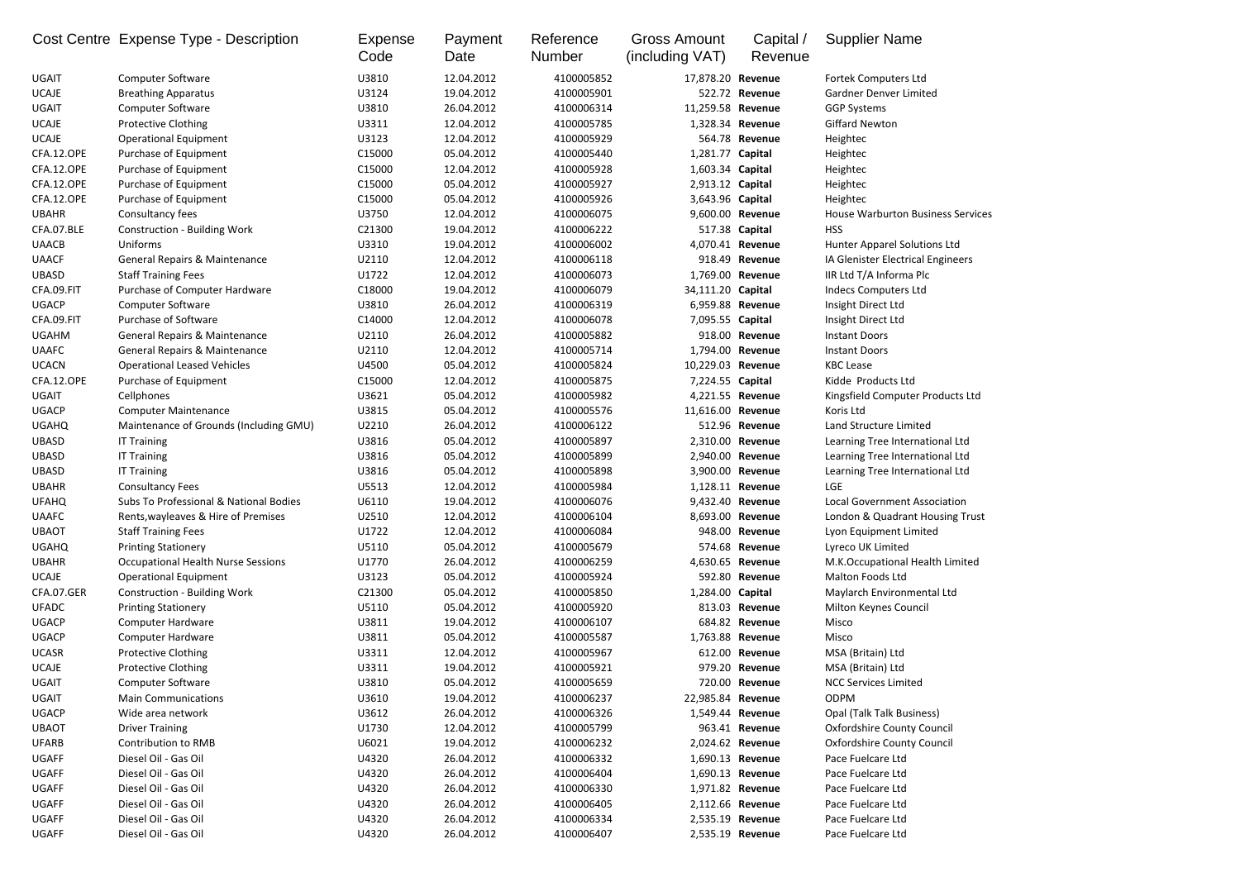|              | Cost Centre Expense Type - Description    | Expense<br>Code | Payment<br>Date | Reference<br><b>Number</b> | <b>Gross Amount</b><br>(including VAT) | Capital /<br>Revenue | <b>Supplier Name</b>                     |
|--------------|-------------------------------------------|-----------------|-----------------|----------------------------|----------------------------------------|----------------------|------------------------------------------|
| <b>UGAIT</b> | <b>Computer Software</b>                  | U3810           | 12.04.2012      | 4100005852                 | 17,878.20 Revenue                      |                      | Fortek Computers Ltd                     |
| <b>UCAJE</b> | <b>Breathing Apparatus</b>                | U3124           | 19.04.2012      | 4100005901                 |                                        | 522.72 Revenue       | <b>Gardner Denver Limited</b>            |
| <b>UGAIT</b> | <b>Computer Software</b>                  | U3810           | 26.04.2012      | 4100006314                 | 11,259.58 Revenue                      |                      | <b>GGP Systems</b>                       |
| <b>UCAJE</b> | <b>Protective Clothing</b>                | U3311           | 12.04.2012      | 4100005785                 |                                        | 1,328.34 Revenue     | <b>Giffard Newton</b>                    |
| <b>UCAJE</b> | <b>Operational Equipment</b>              | U3123           | 12.04.2012      | 4100005929                 |                                        | 564.78 Revenue       | Heightec                                 |
| CFA.12.OPE   | Purchase of Equipment                     | C15000          | 05.04.2012      | 4100005440                 | 1,281.77 Capital                       |                      | Heightec                                 |
| CFA.12.OPE   | Purchase of Equipment                     | C15000          | 12.04.2012      | 4100005928                 | 1,603.34 Capital                       |                      | Heightec                                 |
| CFA.12.OPE   | Purchase of Equipment                     | C15000          | 05.04.2012      | 4100005927                 | 2,913.12 Capital                       |                      | Heightec                                 |
| CFA.12.OPE   | Purchase of Equipment                     | C15000          | 05.04.2012      | 4100005926                 | 3,643.96 Capital                       |                      | Heightec                                 |
| <b>UBAHR</b> | Consultancy fees                          | U3750           | 12.04.2012      | 4100006075                 |                                        | 9,600.00 Revenue     | <b>House Warburton Business Services</b> |
| CFA.07.BLE   | <b>Construction - Building Work</b>       | C21300          | 19.04.2012      | 4100006222                 |                                        | 517.38 Capital       | <b>HSS</b>                               |
| <b>UAACB</b> | Uniforms                                  | U3310           | 19.04.2012      | 4100006002                 |                                        | 4,070.41 Revenue     | Hunter Apparel Solutions Ltd             |
| <b>UAACF</b> | <b>General Repairs &amp; Maintenance</b>  | U2110           | 12.04.2012      | 4100006118                 |                                        | 918.49 Revenue       | IA Glenister Electrical Engineers        |
| <b>UBASD</b> | <b>Staff Training Fees</b>                | U1722           | 12.04.2012      | 4100006073                 |                                        | 1,769.00 Revenue     | IIR Ltd T/A Informa Plc                  |
| CFA.09.FIT   | Purchase of Computer Hardware             | C18000          | 19.04.2012      | 4100006079                 | 34,111.20 Capital                      |                      | <b>Indecs Computers Ltd</b>              |
| <b>UGACP</b> | <b>Computer Software</b>                  | U3810           | 26.04.2012      | 4100006319                 |                                        | 6,959.88 Revenue     | Insight Direct Ltd                       |
| CFA.09.FIT   | Purchase of Software                      | C14000          | 12.04.2012      | 4100006078                 | 7,095.55 Capital                       |                      | Insight Direct Ltd                       |
| <b>UGAHM</b> | <b>General Repairs &amp; Maintenance</b>  | U2110           | 26.04.2012      | 4100005882                 |                                        | 918.00 Revenue       | <b>Instant Doors</b>                     |
| <b>UAAFC</b> | <b>General Repairs &amp; Maintenance</b>  | U2110           | 12.04.2012      | 4100005714                 |                                        | 1,794.00 Revenue     | <b>Instant Doors</b>                     |
| <b>UCACN</b> | <b>Operational Leased Vehicles</b>        | U4500           | 05.04.2012      | 4100005824                 | 10,229.03 Revenue                      |                      | <b>KBC Lease</b>                         |
| CFA.12.OPE   | Purchase of Equipment                     | C15000          | 12.04.2012      | 4100005875                 | 7,224.55 Capital                       |                      | Kidde Products Ltd                       |
| <b>UGAIT</b> | Cellphones                                | U3621           | 05.04.2012      | 4100005982                 |                                        | 4,221.55 Revenue     | Kingsfield Computer Products Ltd         |
| <b>UGACP</b> | <b>Computer Maintenance</b>               | U3815           | 05.04.2012      | 4100005576                 | 11,616.00 Revenue                      |                      | Koris Ltd                                |
| <b>UGAHQ</b> | Maintenance of Grounds (Including GMU)    | U2210           | 26.04.2012      | 4100006122                 |                                        | 512.96 Revenue       | Land Structure Limited                   |
| <b>UBASD</b> | <b>IT Training</b>                        | U3816           | 05.04.2012      | 4100005897                 |                                        | 2,310.00 Revenue     | Learning Tree International Ltd          |
| <b>UBASD</b> | <b>IT Training</b>                        | U3816           | 05.04.2012      | 4100005899                 |                                        | 2,940.00 Revenue     | Learning Tree International Ltd          |
| <b>UBASD</b> | <b>IT Training</b>                        | U3816           | 05.04.2012      | 4100005898                 |                                        | 3,900.00 Revenue     | Learning Tree International Ltd          |
| <b>UBAHR</b> | <b>Consultancy Fees</b>                   | U5513           | 12.04.2012      | 4100005984                 |                                        | 1,128.11 Revenue     | LGE                                      |
| <b>UFAHQ</b> | Subs To Professional & National Bodies    | U6110           | 19.04.2012      | 4100006076                 |                                        | 9,432.40 Revenue     | <b>Local Government Association</b>      |
| <b>UAAFC</b> | Rents, wayleaves & Hire of Premises       | U2510           | 12.04.2012      | 4100006104                 |                                        | 8,693.00 Revenue     | London & Quadrant Housing Trust          |
| <b>UBAOT</b> | <b>Staff Training Fees</b>                | U1722           | 12.04.2012      | 4100006084                 |                                        | 948.00 Revenue       | Lyon Equipment Limited                   |
| <b>UGAHQ</b> | <b>Printing Stationery</b>                | U5110           | 05.04.2012      | 4100005679                 |                                        | 574.68 Revenue       | Lyreco UK Limited                        |
| <b>UBAHR</b> | <b>Occupational Health Nurse Sessions</b> | U1770           | 26.04.2012      | 4100006259                 |                                        | 4,630.65 Revenue     | M.K.Occupational Health Limited          |
| <b>UCAJE</b> | <b>Operational Equipment</b>              | U3123           | 05.04.2012      | 4100005924                 |                                        | 592.80 Revenue       | Malton Foods Ltd                         |
| CFA.07.GER   | <b>Construction - Building Work</b>       | C21300          | 05.04.2012      | 4100005850                 | 1,284.00 Capital                       |                      | Maylarch Environmental Ltd               |
| <b>UFADC</b> |                                           | U5110           | 05.04.2012      | 4100005920                 |                                        | 813.03 Revenue       |                                          |
| <b>UGACP</b> | <b>Printing Stationery</b>                | U3811           | 19.04.2012      | 4100006107                 |                                        | 684.82 Revenue       | Milton Keynes Council                    |
| <b>UGACP</b> | Computer Hardware                         | U3811           | 05.04.2012      | 4100005587                 |                                        | 1,763.88 Revenue     | Misco<br>Misco                           |
|              | Computer Hardware                         |                 |                 |                            |                                        | 612.00 Revenue       |                                          |
| <b>UCASR</b> | <b>Protective Clothing</b>                | U3311           | 12.04.2012      | 4100005967                 |                                        |                      | MSA (Britain) Ltd                        |
| <b>UCAJE</b> | <b>Protective Clothing</b>                | U3311           | 19.04.2012      | 4100005921                 |                                        | 979.20 Revenue       | MSA (Britain) Ltd                        |
| <b>UGAIT</b> | <b>Computer Software</b>                  | U3810           | 05.04.2012      | 4100005659                 |                                        | 720.00 Revenue       | <b>NCC Services Limited</b>              |
| UGAIT        | <b>Main Communications</b>                | U3610           | 19.04.2012      | 4100006237                 | 22,985.84 Revenue                      |                      | <b>ODPM</b>                              |
| <b>UGACP</b> | Wide area network                         | U3612           | 26.04.2012      | 4100006326                 |                                        | 1,549.44 Revenue     | Opal (Talk Talk Business)                |
| <b>UBAOT</b> | <b>Driver Training</b>                    | U1730           | 12.04.2012      | 4100005799                 |                                        | 963.41 Revenue       | <b>Oxfordshire County Council</b>        |
| <b>UFARB</b> | <b>Contribution to RMB</b>                | U6021           | 19.04.2012      | 4100006232                 |                                        | 2,024.62 Revenue     | <b>Oxfordshire County Council</b>        |
| <b>UGAFF</b> | Diesel Oil - Gas Oil                      | U4320           | 26.04.2012      | 4100006332                 |                                        | 1,690.13 Revenue     | Pace Fuelcare Ltd                        |
| <b>UGAFF</b> | Diesel Oil - Gas Oil                      | U4320           | 26.04.2012      | 4100006404                 |                                        | 1,690.13 Revenue     | Pace Fuelcare Ltd                        |
| <b>UGAFF</b> | Diesel Oil - Gas Oil                      | U4320           | 26.04.2012      | 4100006330                 |                                        | 1,971.82 Revenue     | Pace Fuelcare Ltd                        |
| <b>UGAFF</b> | Diesel Oil - Gas Oil                      | U4320           | 26.04.2012      | 4100006405                 |                                        | 2,112.66 Revenue     | Pace Fuelcare Ltd                        |
| <b>UGAFF</b> | Diesel Oil - Gas Oil                      | U4320           | 26.04.2012      | 4100006334                 |                                        | 2,535.19 Revenue     | Pace Fuelcare Ltd                        |
| <b>UGAFF</b> | Diesel Oil - Gas Oil                      | U4320           | 26.04.2012      | 4100006407                 |                                        | 2,535.19 Revenue     | Pace Fuelcare Ltd                        |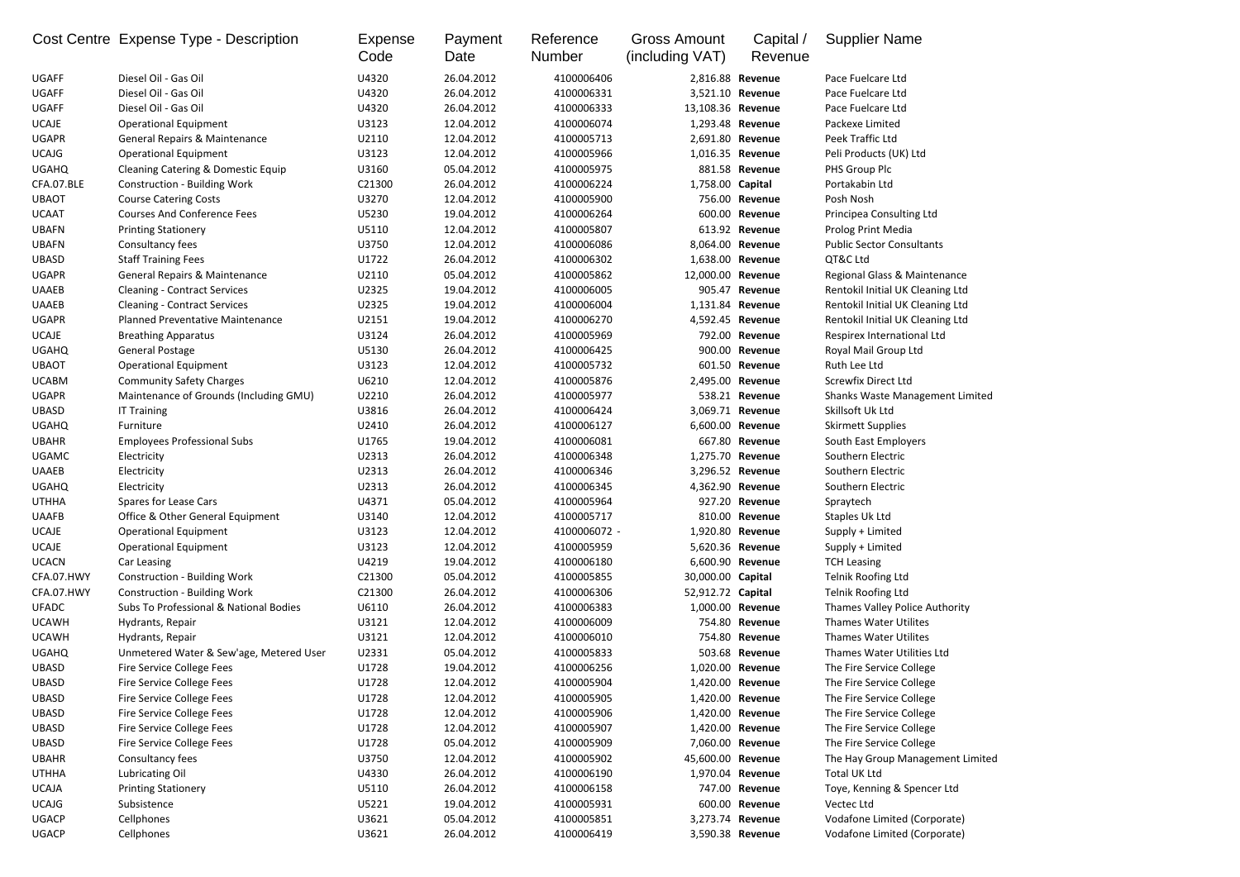|              | Cost Centre Expense Type - Description   | Expense<br>Code | Payment<br>Date | Reference<br><b>Number</b> | <b>Gross Amount</b><br>(including VAT) | Capital /<br>Revenue | <b>Supplier Name</b>                   |
|--------------|------------------------------------------|-----------------|-----------------|----------------------------|----------------------------------------|----------------------|----------------------------------------|
| <b>UGAFF</b> | Diesel Oil - Gas Oil                     | U4320           | 26.04.2012      | 4100006406                 |                                        | 2,816.88 Revenue     | Pace Fuelcare Ltd                      |
| <b>UGAFF</b> | Diesel Oil - Gas Oil                     | U4320           | 26.04.2012      | 4100006331                 |                                        | 3,521.10 Revenue     | Pace Fuelcare Ltd                      |
| <b>UGAFF</b> | Diesel Oil - Gas Oil                     | U4320           | 26.04.2012      | 4100006333                 | 13,108.36 Revenue                      |                      | Pace Fuelcare Ltd                      |
| <b>UCAJE</b> | <b>Operational Equipment</b>             | U3123           | 12.04.2012      | 4100006074                 |                                        | 1,293.48 Revenue     | Packexe Limited                        |
| <b>UGAPR</b> | <b>General Repairs &amp; Maintenance</b> | U2110           | 12.04.2012      | 4100005713                 |                                        | 2,691.80 Revenue     | Peek Traffic Ltd                       |
| <b>UCAJG</b> | <b>Operational Equipment</b>             | U3123           | 12.04.2012      | 4100005966                 |                                        | 1,016.35 Revenue     | Peli Products (UK) Ltd                 |
| <b>UGAHQ</b> | Cleaning Catering & Domestic Equip       | U3160           | 05.04.2012      | 4100005975                 |                                        | 881.58 Revenue       | PHS Group Plc                          |
| CFA.07.BLE   | <b>Construction - Building Work</b>      | C21300          | 26.04.2012      | 4100006224                 | 1,758.00 Capital                       |                      | Portakabin Ltd                         |
| <b>UBAOT</b> | <b>Course Catering Costs</b>             | U3270           | 12.04.2012      | 4100005900                 |                                        | 756.00 Revenue       | Posh Nosh                              |
| <b>UCAAT</b> | <b>Courses And Conference Fees</b>       | U5230           | 19.04.2012      | 4100006264                 |                                        | 600.00 Revenue       | Principea Consulting Ltd               |
| <b>UBAFN</b> | <b>Printing Stationery</b>               | U5110           | 12.04.2012      | 4100005807                 |                                        | 613.92 Revenue       | Prolog Print Media                     |
| <b>UBAFN</b> | Consultancy fees                         | U3750           | 12.04.2012      | 4100006086                 |                                        | 8,064.00 Revenue     | <b>Public Sector Consultants</b>       |
| <b>UBASD</b> | <b>Staff Training Fees</b>               | U1722           | 26.04.2012      | 4100006302                 |                                        | 1,638.00 Revenue     | QT&C Ltd                               |
| <b>UGAPR</b> | <b>General Repairs &amp; Maintenance</b> | U2110           | 05.04.2012      | 4100005862                 | 12,000.00 Revenue                      |                      | Regional Glass & Maintenance           |
| <b>UAAEB</b> | <b>Cleaning - Contract Services</b>      | U2325           | 19.04.2012      | 4100006005                 |                                        | 905.47 Revenue       | Rentokil Initial UK Cleaning Ltd       |
| <b>UAAEB</b> | <b>Cleaning - Contract Services</b>      | U2325           | 19.04.2012      | 4100006004                 |                                        | 1,131.84 Revenue     | Rentokil Initial UK Cleaning Ltd       |
| <b>UGAPR</b> | <b>Planned Preventative Maintenance</b>  | U2151           | 19.04.2012      | 4100006270                 |                                        | 4,592.45 Revenue     | Rentokil Initial UK Cleaning Ltd       |
| <b>UCAJE</b> | <b>Breathing Apparatus</b>               | U3124           | 26.04.2012      | 4100005969                 |                                        | 792.00 Revenue       | Respirex International Ltd             |
| <b>UGAHQ</b> | <b>General Postage</b>                   | U5130           | 26.04.2012      | 4100006425                 |                                        | 900.00 Revenue       | Royal Mail Group Ltd                   |
| <b>UBAOT</b> | <b>Operational Equipment</b>             | U3123           | 12.04.2012      | 4100005732                 |                                        | 601.50 Revenue       | Ruth Lee Ltd                           |
| <b>UCABM</b> | <b>Community Safety Charges</b>          | U6210           | 12.04.2012      | 4100005876                 |                                        | 2,495.00 Revenue     | <b>Screwfix Direct Ltd</b>             |
| <b>UGAPR</b> | Maintenance of Grounds (Including GMU)   | U2210           | 26.04.2012      | 4100005977                 |                                        | 538.21 Revenue       | <b>Shanks Waste Management Limited</b> |
| <b>UBASD</b> | <b>IT Training</b>                       | U3816           | 26.04.2012      | 4100006424                 |                                        | 3,069.71 Revenue     | Skillsoft Uk Ltd                       |
| <b>UGAHQ</b> | Furniture                                | U2410           | 26.04.2012      | 4100006127                 |                                        | 6,600.00 Revenue     | <b>Skirmett Supplies</b>               |
| <b>UBAHR</b> | <b>Employees Professional Subs</b>       | U1765           | 19.04.2012      | 4100006081                 |                                        | 667.80 Revenue       | South East Employers                   |
| <b>UGAMC</b> | Electricity                              | U2313           | 26.04.2012      | 4100006348                 |                                        | 1,275.70 Revenue     | Southern Electric                      |
| <b>UAAEB</b> | Electricity                              | U2313           | 26.04.2012      | 4100006346                 |                                        | 3,296.52 Revenue     | Southern Electric                      |
| <b>UGAHQ</b> | Electricity                              | U2313           | 26.04.2012      | 4100006345                 |                                        | 4,362.90 Revenue     | Southern Electric                      |
| <b>UTHHA</b> | Spares for Lease Cars                    | U4371           | 05.04.2012      | 4100005964                 |                                        | 927.20 Revenue       | Spraytech                              |
| <b>UAAFB</b> | Office & Other General Equipment         | U3140           | 12.04.2012      | 4100005717                 |                                        | 810.00 Revenue       | Staples Uk Ltd                         |
| <b>UCAJE</b> | <b>Operational Equipment</b>             | U3123           | 12.04.2012      | 4100006072 -               |                                        | 1,920.80 Revenue     | Supply + Limited                       |
| <b>UCAJE</b> | <b>Operational Equipment</b>             | U3123           | 12.04.2012      | 4100005959                 |                                        | 5,620.36 Revenue     | Supply + Limited                       |
| <b>UCACN</b> | Car Leasing                              | U4219           | 19.04.2012      | 4100006180                 |                                        | 6,600.90 Revenue     | <b>TCH Leasing</b>                     |
| CFA.07.HWY   | <b>Construction - Building Work</b>      | C21300          | 05.04.2012      | 4100005855                 | 30,000.00 Capital                      |                      | Telnik Roofing Ltd                     |
| CFA.07.HWY   | <b>Construction - Building Work</b>      | C21300          | 26.04.2012      | 4100006306                 | 52,912.72 Capital                      |                      | Telnik Roofing Ltd                     |
| <b>UFADC</b> | Subs To Professional & National Bodies   | U6110           | 26.04.2012      | 4100006383                 |                                        | 1,000.00 Revenue     | Thames Valley Police Authority         |
| <b>UCAWH</b> | Hydrants, Repair                         | U3121           | 12.04.2012      | 4100006009                 |                                        | 754.80 Revenue       | <b>Thames Water Utilites</b>           |
| <b>UCAWH</b> | Hydrants, Repair                         | U3121           | 12.04.2012      | 4100006010                 |                                        | 754.80 Revenue       | <b>Thames Water Utilites</b>           |
| <b>UGAHQ</b> | Unmetered Water & Sew'age, Metered User  | U2331           | 05.04.2012      | 4100005833                 |                                        | 503.68 Revenue       | <b>Thames Water Utilities Ltd</b>      |
| <b>UBASD</b> | Fire Service College Fees                | U1728           | 19.04.2012      | 4100006256                 |                                        | 1,020.00 Revenue     | The Fire Service College               |
| <b>UBASD</b> | Fire Service College Fees                | U1728           | 12.04.2012      | 4100005904                 |                                        | 1,420.00 Revenue     | The Fire Service College               |
| <b>UBASD</b> | Fire Service College Fees                | U1728           | 12.04.2012      | 4100005905                 |                                        | 1,420.00 Revenue     | The Fire Service College               |
| <b>UBASD</b> | Fire Service College Fees                | U1728           | 12.04.2012      | 4100005906                 |                                        | 1,420.00 Revenue     | The Fire Service College               |
| <b>UBASD</b> | Fire Service College Fees                | U1728           | 12.04.2012      | 4100005907                 |                                        | 1,420.00 Revenue     | The Fire Service College               |
| <b>UBASD</b> | Fire Service College Fees                | U1728           | 05.04.2012      | 4100005909                 |                                        | 7,060.00 Revenue     | The Fire Service College               |
| <b>UBAHR</b> | Consultancy fees                         | U3750           | 12.04.2012      | 4100005902                 | 45,600.00 Revenue                      |                      | The Hay Group Management Limited       |
| <b>UTHHA</b> | Lubricating Oil                          | U4330           | 26.04.2012      | 4100006190                 |                                        | 1,970.04 Revenue     | Total UK Ltd                           |
| <b>UCAJA</b> | <b>Printing Stationery</b>               | U5110           | 26.04.2012      | 4100006158                 |                                        | 747.00 Revenue       | Toye, Kenning & Spencer Ltd            |
| <b>UCAJG</b> | Subsistence                              | U5221           | 19.04.2012      | 4100005931                 |                                        | 600.00 Revenue       | Vectec Ltd                             |
| <b>UGACP</b> | Cellphones                               | U3621           | 05.04.2012      | 4100005851                 |                                        | 3,273.74 Revenue     | Vodafone Limited (Corporate)           |
| <b>UGACP</b> | Cellphones                               | U3621           | 26.04.2012      | 4100006419                 |                                        | 3,590.38 Revenue     | Vodafone Limited (Corporate)           |